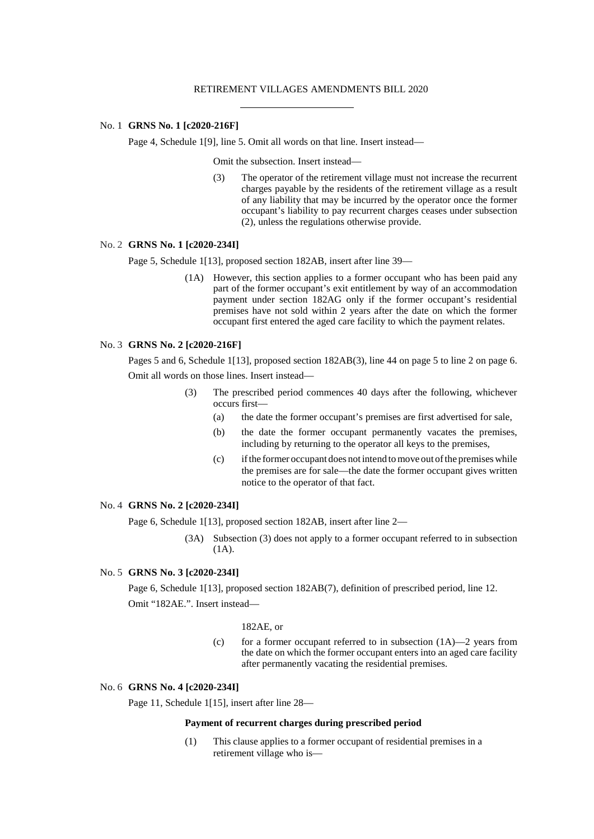#### RETIREMENT VILLAGES AMENDMENTS BILL 2020

### No. 1 **GRNS No. 1 [c2020-216F]**

Page 4, Schedule 1[9], line 5. Omit all words on that line. Insert instead—

Omit the subsection. Insert instead—

(3) The operator of the retirement village must not increase the recurrent charges payable by the residents of the retirement village as a result of any liability that may be incurred by the operator once the former occupant's liability to pay recurrent charges ceases under subsection (2), unless the regulations otherwise provide.

# No. 2 **GRNS No. 1 [c2020-234I]**

Page 5, Schedule 1[13], proposed section 182AB, insert after line 39—

(1A) However, this section applies to a former occupant who has been paid any part of the former occupant's exit entitlement by way of an accommodation payment under section 182AG only if the former occupant's residential premises have not sold within 2 years after the date on which the former occupant first entered the aged care facility to which the payment relates.

## No. 3 **GRNS No. 2 [c2020-216F]**

Pages 5 and 6, Schedule 1[13], proposed section 182AB(3), line 44 on page 5 to line 2 on page 6. Omit all words on those lines. Insert instead—

- (3) The prescribed period commences 40 days after the following, whichever occurs first—
	- (a) the date the former occupant's premises are first advertised for sale,
	- (b) the date the former occupant permanently vacates the premises, including by returning to the operator all keys to the premises,
	- (c) ifthe former occupant does not intend tomove out ofthe premiseswhile the premises are for sale—the date the former occupant gives written notice to the operator of that fact.

## No. 4 **GRNS No. 2 [c2020-234I]**

Page 6, Schedule 1[13], proposed section 182AB, insert after line 2—

(3A) Subsection (3) does not apply to a former occupant referred to in subsection (1A).

# No. 5 **GRNS No. 3 [c2020-234I]**

Page 6, Schedule 1[13], proposed section 182AB(7), definition of prescribed period, line 12. Omit "182AE.". Insert instead—

# 182AE, or

(c) for a former occupant referred to in subsection  $(1A)$ —2 years from the date on which the former occupant enters into an aged care facility after permanently vacating the residential premises.

#### No. 6 **GRNS No. 4 [c2020-234I]**

Page 11, Schedule 1[15], insert after line 28—

#### **Payment of recurrent charges during prescribed period**

(1) This clause applies to a former occupant of residential premises in a retirement village who is—